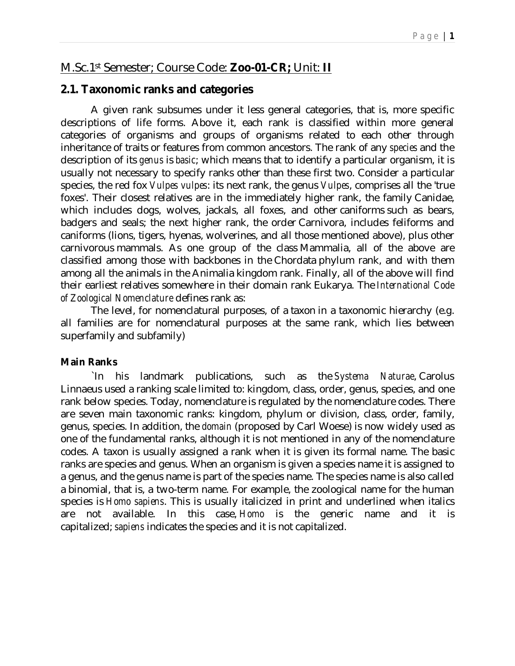# M.Sc.1st Semester; Course Code: **Zoo-01-CR;** Unit: **II**

## **2.1. Taxonomic ranks and categories**

A given rank subsumes under it less general categories, that is, more specific descriptions of life forms. Above it, each rank is classified within more general categories of organisms and groups of organisms related to each other through inheritance of traits or features from common ancestors. The rank of any *species* and the description of its *genus* is *basic*; which means that to identify a particular organism, it is usually not necessary to specify ranks other than these first two. Consider a particular species, the red fox *Vulpes vulpes*: its next rank, the genus *Vulpes*, comprises all the 'true foxes'. Their closest relatives are in the immediately higher rank, the family Canidae, which includes dogs, wolves, jackals, all foxes, and other caniforms such as bears, badgers and seals; the next higher rank, the order Carnivora, includes feliforms and caniforms (lions, tigers, hyenas, wolverines, and all those mentioned above), plus other carnivorous mammals. As one group of the class Mammalia, all of the above are classified among those with backbones in the Chordata phylum rank, and with them among all the animals in the Animalia kingdom rank. Finally, all of the above will find their earliest relatives somewhere in their domain rank Eukarya. The *International Code of Zoological Nomenclature* defines rank as:

The level, for nomenclatural purposes, of a taxon in a taxonomic hierarchy (e.g. all families are for nomenclatural purposes at the same rank, which lies between superfamily and subfamily)

#### **Main Ranks**

`In his landmark publications, such as the *Systema Naturae*, Carolus Linnaeus used a ranking scale limited to: kingdom, class, order, genus, species, and one rank below species. Today, nomenclature is regulated by the nomenclature codes. There are seven main taxonomic ranks: kingdom, phylum or division, class, order, family, genus, species. In addition, the *domain* (proposed by Carl Woese) is now widely used as one of the fundamental ranks, although it is not mentioned in any of the nomenclature codes. A taxon is usually assigned a rank when it is given its formal name. The basic ranks are species and genus. When an organism is given a species name it is assigned to a genus, and the genus name is part of the species name. The species name is also called a binomial, that is, a two-term name. For example, the zoological name for the human species is *Homo sapiens*. This is usually italicized in print and underlined when italics are not available. In this case, *Homo* is the generic name and it is capitalized; *sapiens* indicates the species and it is not capitalized.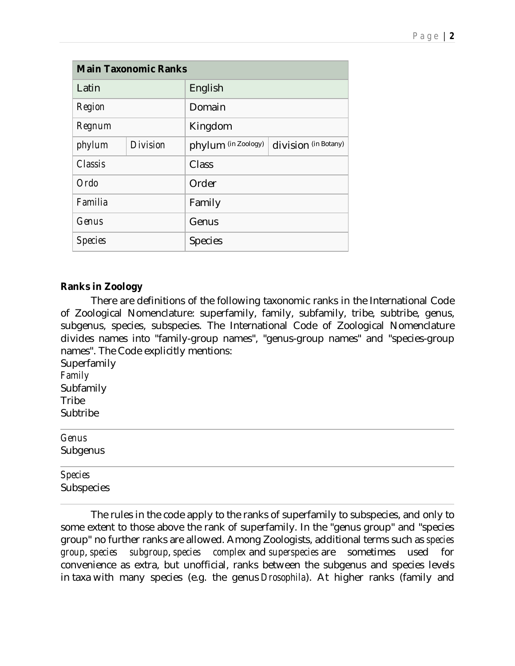| <b>Main Taxonomic Ranks</b> |          |                     |                      |  |  |  |
|-----------------------------|----------|---------------------|----------------------|--|--|--|
| Latin                       |          | English             |                      |  |  |  |
| Region                      |          | Domain              |                      |  |  |  |
| Regnum                      |          | Kingdom             |                      |  |  |  |
| phylum                      | Division | phylum (in Zoology) | division (in Botany) |  |  |  |
| Classis                     |          | Class               |                      |  |  |  |
| Ordo                        |          | Order               |                      |  |  |  |
| Familia                     |          | Family              |                      |  |  |  |
| Genus                       |          | Genus               |                      |  |  |  |
| <b>Species</b>              |          | <b>Species</b>      |                      |  |  |  |

## **Ranks in Zoology**

There are definitions of the following taxonomic ranks in the International Code of Zoological Nomenclature: superfamily, family, subfamily, tribe, subtribe, genus, subgenus, species, subspecies. The International Code of Zoological Nomenclature divides names into "family-group names", "genus-group names" and "species-group names". The Code explicitly mentions:

**Superfamily** *Family* Subfamily **Tribe** Subtribe

| Genus      |  |  |  |  |
|------------|--|--|--|--|
| Subgenus   |  |  |  |  |
| Species    |  |  |  |  |
| Subspecies |  |  |  |  |

The rules in the code apply to the ranks of superfamily to subspecies, and only to some extent to those above the rank of superfamily. In the "genus group" and "species group" no further ranks are allowed. Among Zoologists, additional terms such as *species group*, *species subgroup*, *species complex* and *superspecies* are sometimes used for convenience as extra, but unofficial, ranks between the subgenus and species levels in taxa with many species (e.g. the genus *Drosophila*). At higher ranks (family and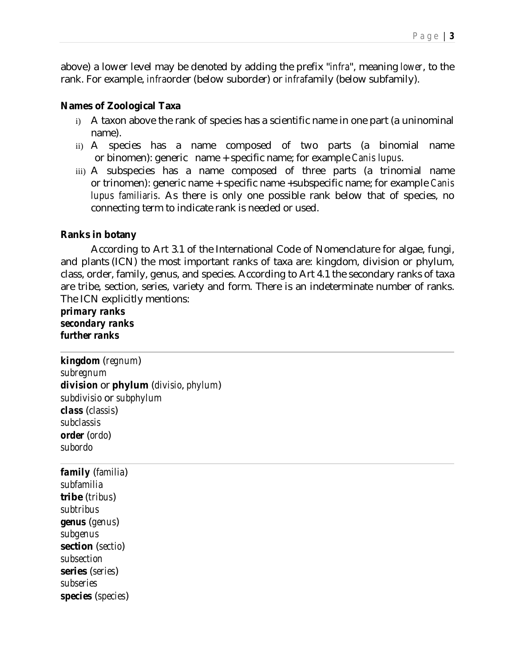above) a lower level may be denoted by adding the prefix "*infra*", meaning *lower*, to the rank. For example, *infra*order (below suborder) or *infra*family (below subfamily).

## **Names of Zoological Taxa**

- i) A taxon above the rank of species has a scientific name in one part (a uninominal name).
- ii) A species has a name composed of two parts (a binomial name or binomen): generic name + specific name; for example *Canis lupus*.
- iii) A subspecies has a name composed of three parts (a trinomial name or trinomen): generic name + specific name +subspecific name; for example *Canis lupus familiaris*. As there is only one possible rank below that of species, no connecting term to indicate rank is needed or used.

## **Ranks in botany**

According to Art 3.1 of the International Code of Nomenclature for algae, fungi, and plants (ICN) the most important ranks of taxa are: kingdom, division or phylum, class, order, family, genus, and species. According to Art 4.1 the secondary ranks of taxa are tribe, section, series, variety and form. There is an indeterminate number of ranks. The ICN explicitly mentions:

*primary ranks secondary ranks further ranks*

*kingdom* (*regnum*) *subregnum division* or **phylum** (*divisio*, *phylum*) *subdivisio* or *subphylum class* (*classis*) *subclassis order* (*ordo*) *subordo*

*family* (*familia*) *subfamilia* **tribe** (*tribus*) *subtribus genus* (*genus*) *subgenus* **section** (*sectio*) *subsection* **series** (*series*) *subseries species* (*species*)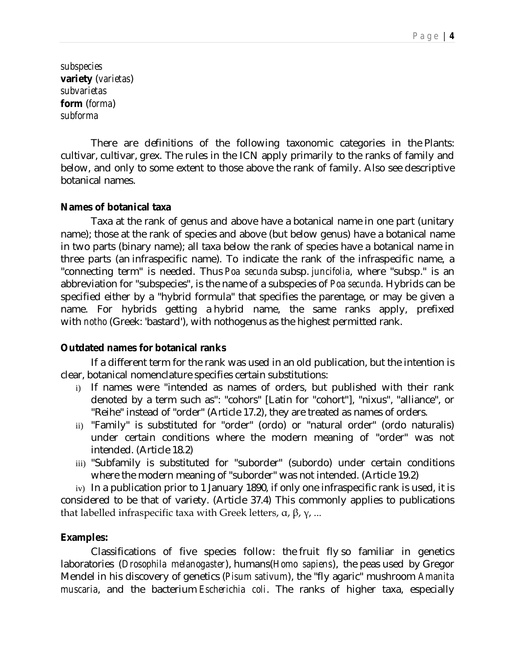*subspecies* **variety** (*varietas*) *subvarietas* **form** (*forma*) *subforma*

There are definitions of the following taxonomic categories in the Plants: cultivar, cultivar, grex. The rules in the ICN apply primarily to the ranks of family and below, and only to some extent to those above the rank of family. Also see descriptive botanical names.

#### **Names of botanical taxa**

Taxa at the rank of genus and above have a botanical name in one part (unitary name); those at the rank of species and above (but below genus) have a botanical name in two parts (binary name); all taxa below the rank of species have a botanical name in three parts (an infraspecific name). To indicate the rank of the infraspecific name, a "connecting term" is needed. Thus *Poa secunda* subsp. *juncifolia*, where "subsp." is an abbreviation for "subspecies", is the name of a subspecies of *Poa secunda*. Hybrids can be specified either by a "hybrid formula" that specifies the parentage, or may be given a name. For hybrids getting a hybrid name, the same ranks apply, prefixed with *notho* (Greek: 'bastard'), with nothogenus as the highest permitted rank.

#### **Outdated names for botanical ranks**

If a different term for the rank was used in an old publication, but the intention is clear, botanical nomenclature specifies certain substitutions:

- i) If names were "intended as names of orders, but published with their rank denoted by a term such as": "cohors" [Latin for "cohort"], "nixus", "alliance", or "Reihe" instead of "order" (Article 17.2), they are treated as names of orders.
- ii) "Family" is substituted for "order" (ordo) or "natural order" (ordo naturalis) under certain conditions where the modern meaning of "order" was not intended. (Article 18.2)
- iii) "Subfamily is substituted for "suborder" (subordo) under certain conditions where the modern meaning of "suborder" was not intended. (Article 19.2)

iv) In a publication prior to 1 January 1890, if only one infraspecific rank is used, it is considered to be that of variety. (Article 37.4) This commonly applies to publications that labelled infraspecific taxa with Greek letters,  $\alpha$ ,  $\beta$ ,  $\gamma$ , ...

#### **Examples:**

Classifications of five species follow: the fruit fly so familiar in genetics laboratories (*Drosophila melanogaster*), humans(*Homo sapiens*), the peas used by Gregor Mendel in his discovery of genetics (*Pisum sativum*), the "fly agaric" mushroom *Amanita muscaria*, and the bacterium *Escherichia coli*. The ranks of higher taxa, especially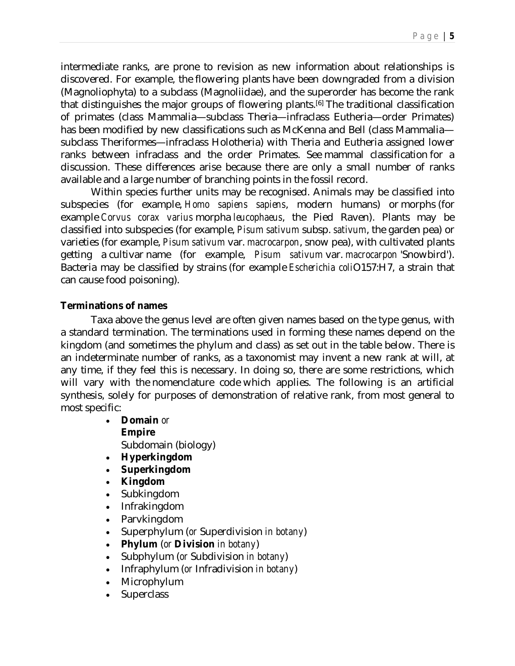intermediate ranks, are prone to revision as new information about relationships is discovered. For example, the flowering plants have been downgraded from a division (Magnoliophyta) to a subclass (Magnoliidae), and the superorder has become the rank that distinguishes the major groups of flowering plants.<sup>[6]</sup> The traditional classification of primates (class Mammalia—subclass Theria—infraclass Eutheria—order Primates) has been modified by new classifications such as McKenna and Bell (class Mammalia subclass Theriformes—infraclass Holotheria) with Theria and Eutheria assigned lower ranks between infraclass and the order Primates. See mammal classification for a discussion. These differences arise because there are only a small number of ranks available and a large number of branching points in the fossil record.

Within species further units may be recognised. Animals may be classified into subspecies (for example, *Homo sapiens sapiens*, modern humans) or morphs (for example *Corvus corax varius* morpha *leucophaeus*, the Pied Raven). Plants may be classified into subspecies (for example, *Pisum sativum* subsp. *sativum*, the garden pea) or varieties (for example, *Pisum sativum* var. *macrocarpon*, snow pea), with cultivated plants getting a cultivar name (for example, *Pisum sativum* var. *macrocarpon* 'Snowbird'). Bacteria may be classified by strains (for example *Escherichia coli*O157:H7, a strain that can cause food poisoning).

## **Terminations of names**

Taxa above the genus level are often given names based on the type genus, with a standard termination. The terminations used in forming these names depend on the kingdom (and sometimes the phylum and class) as set out in the table below. There is an indeterminate number of ranks, as a taxonomist may invent a new rank at will, at any time, if they feel this is necessary. In doing so, there are some restrictions, which will vary with the nomenclature code which applies. The following is an artificial synthesis, solely for purposes of demonstration of relative rank, from most general to most specific:

- **Domain** *or* **Empire** Subdomain (biology)
- **Hyperkingdom**
- **Superkingdom**
- **Kingdom**
- Subkingdom
- Infrakingdom
- Parvkingdom
- Superphylum (*or* Superdivision *in botany*)
- **Phylum** (*or* **Division** *in botany*)
- Subphylum (*or* Subdivision *in botany*)
- Infraphylum (*or* Infradivision *in botany*)
- Microphylum
- **Superclass**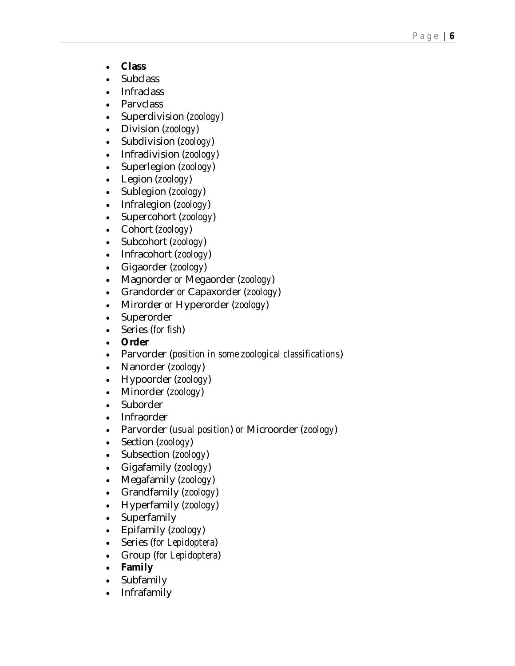- **Class**
- **Subclass**
- Infraclass
- Parvclass
- Superdivision (*zoology*)
- Division (*zoology*)
- Subdivision (*zoology*)
- Infradivision (*zoology*)
- Superlegion (*zoology*)
- Legion (*zoology*)
- Sublegion (*zoology*)
- Infralegion (*zoology*)
- Supercohort (*zoology*)
- Cohort (*zoology*)
- Subcohort (*zoology*)
- Infracohort (*zoology*)
- Gigaorder (*zoology*)
- Magnorder *or* Megaorder (*zoology*)
- Grandorder *or* Capaxorder (*zoology*)
- Mirorder *or* Hyperorder (*zoology*)
- Superorder
- Series (*for fish*)
- **Order**
- Parvorder (*position in some zoological classifications*)
- Nanorder (*zoology*)
- Hypoorder (*zoology*)
- Minorder (*zoology*)
- Suborder
- Infraorder
- Parvorder (*usual position*) *or* Microorder (*zoology*)
- Section (*zoology*)
- Subsection (*zoology*)
- Gigafamily (*zoology*)
- Megafamily (*zoology*)
- Grandfamily (*zoology*)
- Hyperfamily (*zoology*)
- Superfamily
- Epifamily (*zoology*)
- Series (*for Lepidoptera*)
- Group (*for Lepidoptera*)
- **Family**
- Subfamily
- Infrafamily